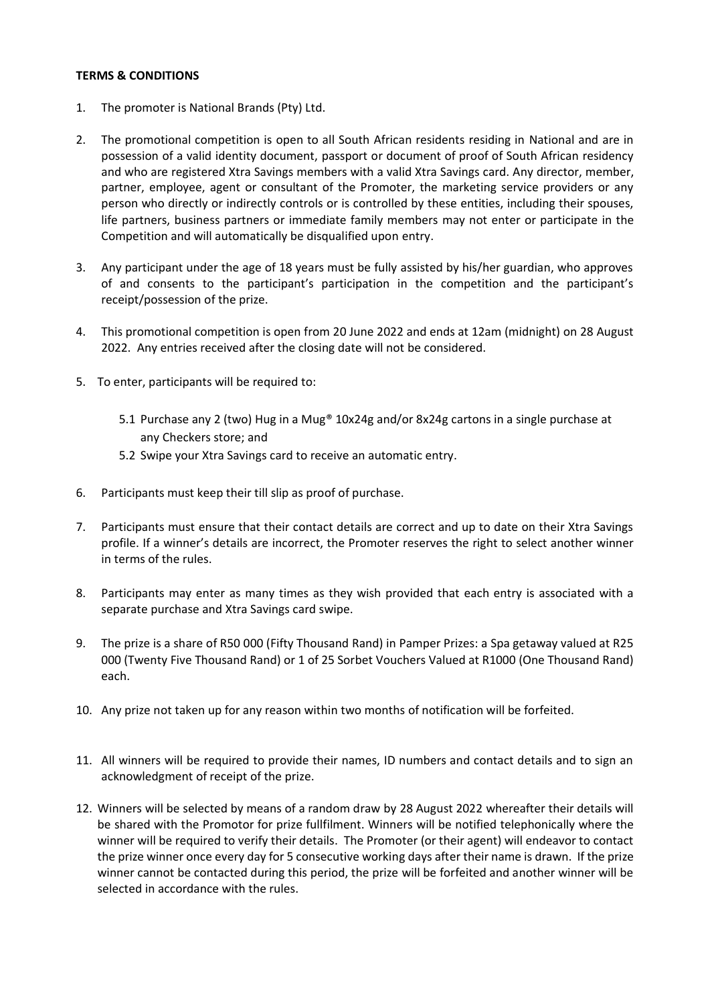## **TERMS & CONDITIONS**

- 1. The promoter is National Brands (Pty) Ltd.
- 2. The promotional competition is open to all South African residents residing in National and are in possession of a valid identity document, passport or document of proof of South African residency and who are registered Xtra Savings members with a valid Xtra Savings card. Any director, member, partner, employee, agent or consultant of the Promoter, the marketing service providers or any person who directly or indirectly controls or is controlled by these entities, including their spouses, life partners, business partners or immediate family members may not enter or participate in the Competition and will automatically be disqualified upon entry.
- 3. Any participant under the age of 18 years must be fully assisted by his/her guardian, who approves of and consents to the participant's participation in the competition and the participant's receipt/possession of the prize.
- 4. This promotional competition is open from 20 June 2022 and ends at 12am (midnight) on 28 August 2022. Any entries received after the closing date will not be considered.
- 5. To enter, participants will be required to:
	- 5.1 Purchase any 2 (two) Hug in a Mug® 10x24g and/or 8x24g cartons in a single purchase at any Checkers store; and
	- 5.2 Swipe your Xtra Savings card to receive an automatic entry.
- 6. Participants must keep their till slip as proof of purchase.
- 7. Participants must ensure that their contact details are correct and up to date on their Xtra Savings profile. If a winner's details are incorrect, the Promoter reserves the right to select another winner in terms of the rules.
- 8. Participants may enter as many times as they wish provided that each entry is associated with a separate purchase and Xtra Savings card swipe.
- 9. The prize is a share of R50 000 (Fifty Thousand Rand) in Pamper Prizes: a Spa getaway valued at R25 000 (Twenty Five Thousand Rand) or 1 of 25 Sorbet Vouchers Valued at R1000 (One Thousand Rand) each.
- 10. Any prize not taken up for any reason within two months of notification will be forfeited.
- 11. All winners will be required to provide their names, ID numbers and contact details and to sign an acknowledgment of receipt of the prize.
- 12. Winners will be selected by means of a random draw by 28 August 2022 whereafter their details will be shared with the Promotor for prize fullfilment. Winners will be notified telephonically where the winner will be required to verify their details. The Promoter (or their agent) will endeavor to contact the prize winner once every day for 5 consecutive working days after their name is drawn. If the prize winner cannot be contacted during this period, the prize will be forfeited and another winner will be selected in accordance with the rules.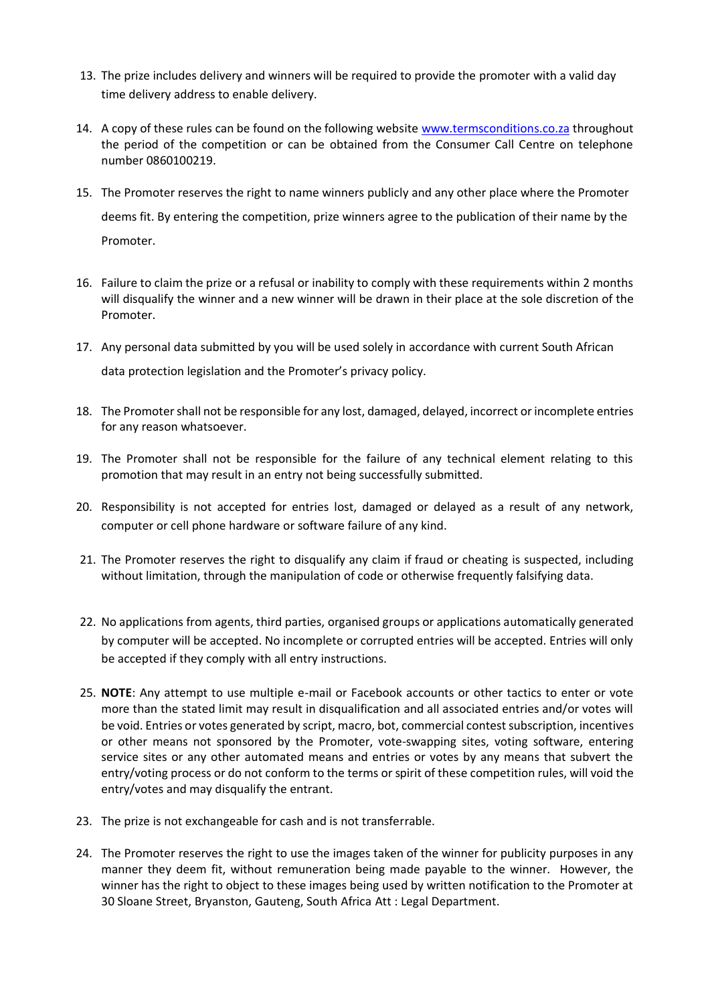- 13. The prize includes delivery and winners will be required to provide the promoter with a valid day time delivery address to enable delivery.
- 14. A copy of these rules can be found on the following website [www.termsconditions.co.za](http://www.termsconditions.co.za/) throughout the period of the competition or can be obtained from the Consumer Call Centre on telephone number 0860100219.
- 15. The Promoter reserves the right to name winners publicly and any other place where the Promoter deems fit. By entering the competition, prize winners agree to the publication of their name by the Promoter.
- 16. Failure to claim the prize or a refusal or inability to comply with these requirements within 2 months will disqualify the winner and a new winner will be drawn in their place at the sole discretion of the Promoter.
- 17. Any personal data submitted by you will be used solely in accordance with current South African data protection legislation and the Promoter's privacy policy.
- 18. The Promoter shall not be responsible for any lost, damaged, delayed, incorrect or incomplete entries for any reason whatsoever.
- 19. The Promoter shall not be responsible for the failure of any technical element relating to this promotion that may result in an entry not being successfully submitted.
- 20. Responsibility is not accepted for entries lost, damaged or delayed as a result of any network, computer or cell phone hardware or software failure of any kind.
- 21. The Promoter reserves the right to disqualify any claim if fraud or cheating is suspected, including without limitation, through the manipulation of code or otherwise frequently falsifying data.
- 22. No applications from agents, third parties, organised groups or applications automatically generated by computer will be accepted. No incomplete or corrupted entries will be accepted. Entries will only be accepted if they comply with all entry instructions.
- 25. **NOTE**: Any attempt to use multiple e-mail or Facebook accounts or other tactics to enter or vote more than the stated limit may result in disqualification and all associated entries and/or votes will be void. Entries or votes generated by script, macro, bot, commercial contest subscription, incentives or other means not sponsored by the Promoter, vote-swapping sites, voting software, entering service sites or any other automated means and entries or votes by any means that subvert the entry/voting process or do not conform to the terms or spirit of these competition rules, will void the entry/votes and may disqualify the entrant.
- 23. The prize is not exchangeable for cash and is not transferrable.
- 24. The Promoter reserves the right to use the images taken of the winner for publicity purposes in any manner they deem fit, without remuneration being made payable to the winner. However, the winner has the right to object to these images being used by written notification to the Promoter at 30 Sloane Street, Bryanston, Gauteng, South Africa Att : Legal Department.